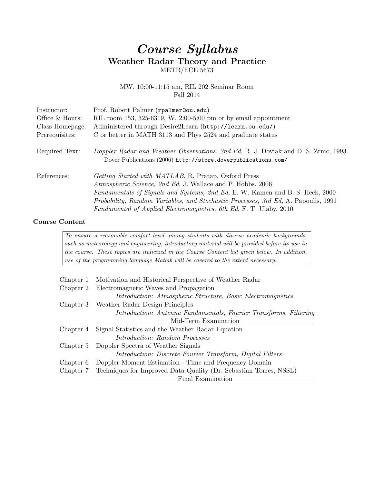## Course Syllabus Weather Radar Theory and Practice METR/ECE 5673

MW, 10:00-11:15 am, RIL 202 Seminar Room Fall 2014

| Instructor:     | Prof. Robert Palmer (rpalmer@ou.edu)                                                                                                                                                                                                                                                                                                                                           |
|-----------------|--------------------------------------------------------------------------------------------------------------------------------------------------------------------------------------------------------------------------------------------------------------------------------------------------------------------------------------------------------------------------------|
| Office & Hours: | RIL room 153, 325-6319, W, 2:00-5:00 pm or by email appointment                                                                                                                                                                                                                                                                                                                |
| Class Homepage: | Administered through Desire2Learn (http://learn.ou.edu/)                                                                                                                                                                                                                                                                                                                       |
| Prerequisites:  | C or better in MATH 3113 and Phys 2524 and graduate status                                                                                                                                                                                                                                                                                                                     |
| Required Text:  | Doppler Radar and Weather Observations, 2nd Ed, R. J. Doviak and D. S. Zrnic, 1993.<br>Dover Publications (2006) http://store.doverpublications.com/                                                                                                                                                                                                                           |
| References:     | <i>Getting Started with MATLAB</i> , R. Pratap, Oxford Press<br>Atmospheric Science, 2nd Ed. J. Wallace and P. Hobbs, 2006<br>Fundamentals of Signals and Systems, 2nd Ed, E. W. Kamen and B. S. Heck, 2000<br><i>Probability, Random Variables, and Stochastic Processes, 3rd Ed, A. Papoulis, 1991</i><br>Fundamental of Applied Electromagnetics, 6th Ed, F. T. Ulaby, 2010 |

## Course Content

To ensure a reasonable comfort level among students with diverse academic backgrounds, such as meteorology and engineering, introductory material will be provided before its use in the course. These topics are italicized in the Course Content list given below. In addition, use of the programming language Matlab will be covered to the extent necessary.

| Chapter 1 | Motivation and Historical Perspective of Weather Radar                      |
|-----------|-----------------------------------------------------------------------------|
| Chapter 2 | Electromagnetic Waves and Propagation                                       |
|           | <i>Introduction: Atmospheric Structure, Basic Electromagnetics</i>          |
| Chapter 3 | Weather Radar Design Principles                                             |
|           | Introduction: Antenna Fundamentals, Fourier Transforms, Filtering           |
|           | Mid-Term Examination                                                        |
| Chapter 4 | Signal Statistics and the Weather Radar Equation                            |
|           | <i>Introduction: Random Processes</i>                                       |
| Chapter 5 | Doppler Spectra of Weather Signals                                          |
|           | <i>Introduction: Discrete Fourier Transform, Digital Filters</i>            |
| Chapter 6 | Doppler Moment Estimation - Time and Frequency Domain                       |
|           | Chapter 7 Techniques for Improved Data Quality (Dr. Sebastian Torres, NSSL) |
|           | Final Examination                                                           |